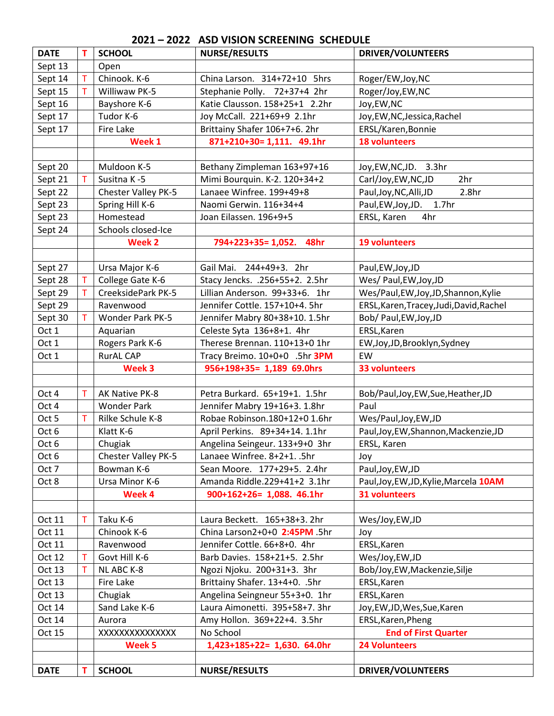| <b>DATE</b> | т            | <b>SCHOOL</b>              | <b>NURSE/RESULTS</b>           | <b>DRIVER/VOLUNTEERS</b>                     |  |
|-------------|--------------|----------------------------|--------------------------------|----------------------------------------------|--|
| Sept 13     |              | Open                       |                                |                                              |  |
| Sept 14     |              | Chinook. K-6               | China Larson. 314+72+10 5hrs   | Roger/EW, Joy, NC                            |  |
| Sept 15     | T.           | Williwaw PK-5              | Stephanie Polly. 72+37+4 2hr   | Roger/Joy, EW, NC                            |  |
| Sept 16     |              | Bayshore K-6               | Katie Clausson. 158+25+1 2.2hr | Joy, EW, NC                                  |  |
| Sept 17     |              | Tudor K-6                  | Joy McCall. 221+69+9 2.1hr     | Joy, EW, NC, Jessica, Rachel                 |  |
| Sept 17     |              | Fire Lake                  | Brittainy Shafer 106+7+6. 2hr  | ERSL/Karen, Bonnie                           |  |
|             |              | Week 1                     | 871+210+30= 1,111. 49.1hr      | <b>18 volunteers</b>                         |  |
|             |              |                            |                                |                                              |  |
| Sept 20     |              | Muldoon K-5                | Bethany Zimpleman 163+97+16    | Joy, EW, NC, JD. 3.3hr                       |  |
| Sept 21     | $\mathsf{T}$ | Susitna K-5                | Mimi Bourquin. K-2. 120+34+2   | 2hr<br>Carl/Joy, EW, NC, JD                  |  |
| Sept 22     |              | <b>Chester Valley PK-5</b> | Lanaee Winfree. 199+49+8       | Paul, Joy, NC, Alli, JD<br>2.8 <sub>hr</sub> |  |
| Sept 23     |              | Spring Hill K-6            | Naomi Gerwin. 116+34+4         | 1.7 <sub>hr</sub><br>Paul, EW, Joy, JD.      |  |
| Sept 23     |              | Homestead                  | Joan Eilassen. 196+9+5         | ERSL, Karen<br>4hr                           |  |
| Sept 24     |              | Schools closed-Ice         |                                |                                              |  |
|             |              | <b>Week 2</b>              | 794+223+35=1,052.<br>48hr      | <b>19 volunteers</b>                         |  |
|             |              |                            |                                |                                              |  |
| Sept 27     |              | Ursa Major K-6             | Gail Mai. 244+49+3. 2hr        | Paul, EW, Joy, JD                            |  |
| Sept 28     |              | College Gate K-6           | Stacy Jencks. .256+55+2. 2.5hr | Wes/ Paul, EW, Joy, JD                       |  |
| Sept 29     | $\mathsf T$  | CreeksidePark PK-5         | Lillian Anderson. 99+33+6. 1hr | Wes/Paul,EW,Joy,JD,Shannon,Kylie             |  |
| Sept 29     |              | Ravenwood                  | Jennifer Cottle. 157+10+4. 5hr | ERSL, Karen, Tracey, Judi, David, Rachel     |  |
| Sept 30     |              | Wonder Park PK-5           | Jennifer Mabry 80+38+10. 1.5hr | Bob/ Paul, EW, Joy, JD                       |  |
| Oct 1       |              | Aquarian                   | Celeste Syta 136+8+1. 4hr      | ERSL, Karen                                  |  |
| Oct 1       |              | Rogers Park K-6            | Therese Brennan. 110+13+0 1hr  | EW, Joy, JD, Brooklyn, Sydney                |  |
| Oct 1       |              | <b>RurAL CAP</b>           | Tracy Breimo. 10+0+0 .5hr 3PM  | EW                                           |  |
|             |              | Week 3                     | 956+198+35= 1,189 69.0hrs      | <b>33 volunteers</b>                         |  |
|             |              |                            |                                |                                              |  |
| Oct 4       |              | AK Native PK-8             | Petra Burkard. 65+19+1. 1.5hr  | Bob/Paul, Joy, EW, Sue, Heather, JD          |  |
| Oct 4       |              | <b>Wonder Park</b>         | Jennifer Mabry 19+16+3. 1.8hr  | Paul                                         |  |
| Oct 5       | т            | Rilke Schule K-8           | Robae Robinson.180+12+0 1.6hr  | Wes/Paul, Joy, EW, JD                        |  |
| Oct 6       |              | Klatt K-6                  | April Perkins. 89+34+14. 1.1hr | Paul, Joy, EW, Shannon, Mackenzie, JD        |  |
| Oct 6       |              | Chugiak                    | Angelina Seingeur. 133+9+0 3hr | ERSL, Karen                                  |  |
| Oct 6       |              | <b>Chester Valley PK-5</b> | Lanaee Winfree. 8+2+1. .5hr    | Joy                                          |  |
| Oct 7       |              | Bowman K-6                 | Sean Moore. 177+29+5. 2.4hr    | Paul, Joy, EW, JD                            |  |
| Oct 8       |              | Ursa Minor K-6             | Amanda Riddle.229+41+2 3.1hr   | Paul, Joy, EW, JD, Kylie, Marcela 10AM       |  |
|             |              | Week 4                     | 900+162+26= 1,088. 46.1hr      | <b>31 volunteers</b>                         |  |
|             |              |                            |                                |                                              |  |
| Oct 11      | т            | Taku K-6                   | Laura Beckett. 165+38+3.2hr    | Wes/Joy, EW, JD                              |  |
| Oct 11      |              | Chinook K-6                | China Larson2+0+0 2:45PM .5hr  | Joy                                          |  |
| Oct 11      |              | Ravenwood                  | Jennifer Cottle. 66+8+0. 4hr   | ERSL, Karen                                  |  |
| Oct 12      | т            | Govt Hill K-6              | Barb Davies. 158+21+5. 2.5hr   | Wes/Joy, EW, JD                              |  |
| Oct 13      | т            | NL ABC K-8                 | Ngozi Njoku. 200+31+3. 3hr     | Bob/Joy,EW,Mackenzie,Silje                   |  |
| Oct 13      |              | Fire Lake                  | Brittainy Shafer. 13+4+0. .5hr | ERSL, Karen                                  |  |
| Oct 13      |              | Chugiak                    | Angelina Seingneur 55+3+0. 1hr | ERSL, Karen                                  |  |
| Oct 14      |              | Sand Lake K-6              | Laura Aimonetti. 395+58+7. 3hr | Joy, EW, JD, Wes, Sue, Karen                 |  |
| Oct 14      |              | Aurora                     | Amy Hollon. 369+22+4. 3.5hr    | ERSL, Karen, Pheng                           |  |
| Oct 15      |              | XXXXXXXXXXXXXX             | No School                      | <b>End of First Quarter</b>                  |  |
|             |              | Week <sub>5</sub>          | 1,423+185+22= 1,630. 64.0hr    | <b>24 Volunteers</b>                         |  |
|             |              |                            |                                |                                              |  |
| <b>DATE</b> | т            | <b>SCHOOL</b>              | <b>NURSE/RESULTS</b>           | <b>DRIVER/VOLUNTEERS</b>                     |  |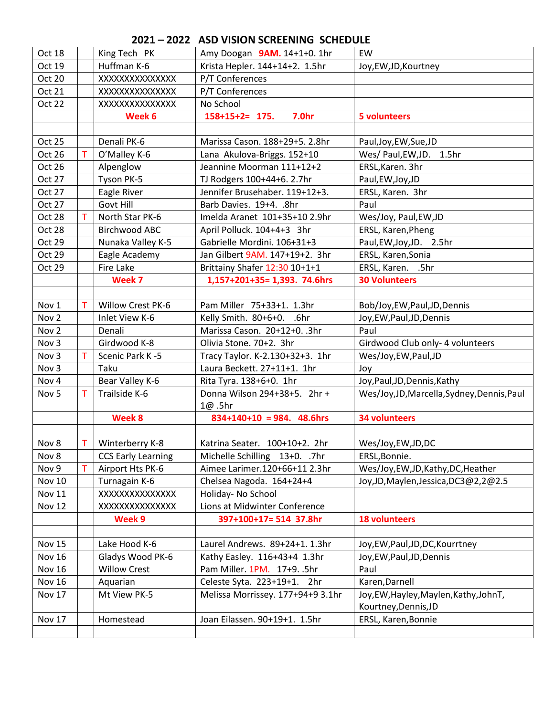| Oct 18           |   | King Tech PK              | Amy Doogan 9AM. 14+1+0. 1hr       | <b>EW</b>                                  |  |
|------------------|---|---------------------------|-----------------------------------|--------------------------------------------|--|
| Oct 19           |   | Huffman K-6               | Krista Hepler. 144+14+2. 1.5hr    | Joy, EW, JD, Kourtney                      |  |
| Oct 20           |   | XXXXXXXXXXXXXX            | P/T Conferences                   |                                            |  |
| <b>Oct 21</b>    |   | XXXXXXXXXXXXXX            | P/T Conferences                   |                                            |  |
| <b>Oct 22</b>    |   | XXXXXXXXXXXXXX            | No School                         |                                            |  |
|                  |   | Week 6                    | $158+15+2= 175.$<br><b>7.0hr</b>  | <b>5 volunteers</b>                        |  |
|                  |   |                           |                                   |                                            |  |
| Oct 25           |   | Denali PK-6               | Marissa Cason. 188+29+5. 2.8hr    | Paul, Joy, EW, Sue, JD                     |  |
| Oct 26           | Τ | O'Malley K-6              | Lana Akulova-Briggs. 152+10       | Wes/ Paul, EW, JD. 1.5hr                   |  |
| Oct 26           |   | Alpenglow                 | Jeannine Moorman 111+12+2         | ERSL, Karen. 3hr                           |  |
| Oct 27           |   | Tyson PK-5                | TJ Rodgers 100+44+6. 2.7hr        | Paul, EW, Joy, JD                          |  |
| Oct 27           |   | Eagle River               | Jennifer Brusehaber. 119+12+3.    | ERSL, Karen. 3hr                           |  |
| Oct 27           |   | Govt Hill                 | Barb Davies. 19+4. .8hr           | Paul                                       |  |
| Oct 28           | т | North Star PK-6           | Imelda Aranet 101+35+10 2.9hr     | Wes/Joy, Paul, EW, JD                      |  |
| Oct 28           |   | <b>Birchwood ABC</b>      | April Polluck. 104+4+3 3hr        | ERSL, Karen, Pheng                         |  |
| Oct 29           |   | Nunaka Valley K-5         | Gabrielle Mordini. 106+31+3       | Paul, EW, Joy, JD. 2.5hr                   |  |
| Oct 29           |   | Eagle Academy             | Jan Gilbert 9AM. 147+19+2. 3hr    | ERSL, Karen, Sonia                         |  |
| Oct 29           |   | Fire Lake                 | Brittainy Shafer 12:30 10+1+1     | ERSL, Karen. .5hr                          |  |
|                  |   | Week 7                    | 1,157+201+35= 1,393. 74.6hrs      | <b>30 Volunteers</b>                       |  |
|                  |   |                           |                                   |                                            |  |
| Nov 1            | T | Willow Crest PK-6         | Pam Miller 75+33+1. 1.3hr         | Bob/Joy,EW,Paul,JD,Dennis                  |  |
| Nov <sub>2</sub> |   | Inlet View K-6            | Kelly Smith. 80+6+0.<br>.6hr      | Joy, EW, Paul, JD, Dennis                  |  |
| Nov <sub>2</sub> |   | Denali                    | Marissa Cason. 20+12+0. .3hr      | Paul                                       |  |
| Nov 3            |   | Girdwood K-8              | Olivia Stone. 70+2. 3hr           | Girdwood Club only- 4 volunteers           |  |
| Nov 3            | т | Scenic Park K-5           | Tracy Taylor. K-2.130+32+3. 1hr   | Wes/Joy, EW, Paul, JD                      |  |
| Nov 3            |   | Taku                      | Laura Beckett. 27+11+1. 1hr       | Joy                                        |  |
| Nov 4            |   | Bear Valley K-6           | Rita Tyra. 138+6+0. 1hr           | Joy, Paul, JD, Dennis, Kathy               |  |
| Nov <sub>5</sub> | T | Trailside K-6             | Donna Wilson 294+38+5. 2hr +      | Wes/Joy,JD, Marcella, Sydney, Dennis, Paul |  |
|                  |   |                           | 1@.5hr                            |                                            |  |
|                  |   | Week 8                    | $834+140+10 = 984.$ 48.6hrs       | <b>34 volunteers</b>                       |  |
|                  |   |                           |                                   |                                            |  |
| Nov 8            | Τ | Winterberry K-8           | Katrina Seater. 100+10+2. 2hr     | Wes/Joy, EW, JD, DC                        |  |
| Nov 8            |   | <b>CCS Early Learning</b> | Michelle Schilling 13+0. .7hr     | ERSL, Bonnie.                              |  |
| Nov 9            | т | Airport Hts PK-6          | Aimee Larimer.120+66+11 2.3hr     | Wes/Joy, EW, JD, Kathy, DC, Heather        |  |
| <b>Nov 10</b>    |   | Turnagain K-6             | Chelsea Nagoda. 164+24+4          | Joy, JD, Maylen, Jessica, DC3@2, 2@2.5     |  |
| <b>Nov 11</b>    |   | XXXXXXXXXXXXXX            | Holiday- No School                |                                            |  |
| <b>Nov 12</b>    |   | XXXXXXXXXXXXXXX           | Lions at Midwinter Conference     |                                            |  |
|                  |   | Week 9                    | 397+100+17= 514 37.8hr            | <b>18 volunteers</b>                       |  |
|                  |   |                           |                                   |                                            |  |
| <b>Nov 15</b>    |   | Lake Hood K-6             | Laurel Andrews. 89+24+1. 1.3hr    | Joy, EW, Paul, JD, DC, Kourrtney           |  |
| <b>Nov 16</b>    |   | Gladys Wood PK-6          | Kathy Easley. 116+43+4 1.3hr      | Joy, EW, Paul, JD, Dennis                  |  |
| <b>Nov 16</b>    |   | <b>Willow Crest</b>       | Pam Miller. 1PM. 17+9. .5hr       | Paul                                       |  |
| <b>Nov 16</b>    |   | Aquarian                  | Celeste Syta. 223+19+1. 2hr       | Karen, Darnell                             |  |
| Nov 17           |   | Mt View PK-5              | Melissa Morrissey. 177+94+9 3.1hr | Joy, EW, Hayley, Maylen, Kathy, JohnT,     |  |
|                  |   |                           |                                   | Kourtney, Dennis, JD                       |  |
| <b>Nov 17</b>    |   | Homestead                 | Joan Eilassen. 90+19+1. 1.5hr     | ERSL, Karen, Bonnie                        |  |
|                  |   |                           |                                   |                                            |  |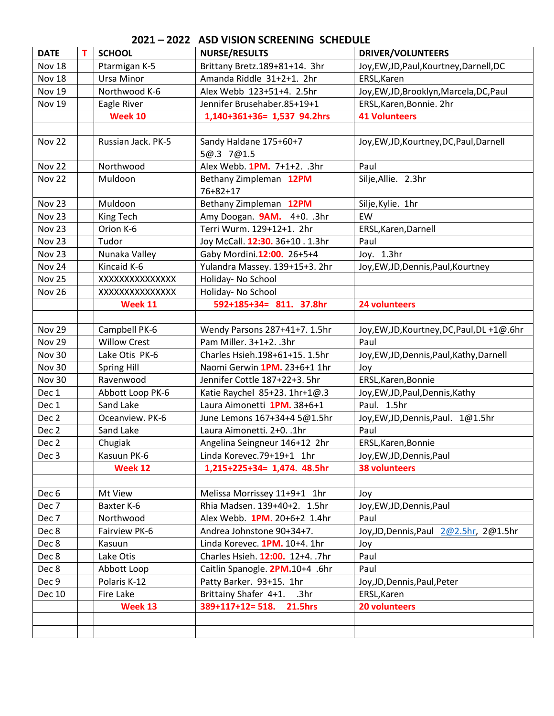| <b>DATE</b>      | T. | <b>SCHOOL</b>       | <b>NURSE/RESULTS</b>                      | <b>DRIVER/VOLUNTEERS</b>                    |  |
|------------------|----|---------------------|-------------------------------------------|---------------------------------------------|--|
| Nov 18           |    | Ptarmigan K-5       | Brittany Bretz.189+81+14. 3hr             | Joy, EW, JD, Paul, Kourtney, Darnell, DC    |  |
| Nov 18           |    | Ursa Minor          | Amanda Riddle 31+2+1. 2hr                 | ERSL, Karen                                 |  |
| <b>Nov 19</b>    |    | Northwood K-6       | Alex Webb 123+51+4. 2.5hr                 | Joy, EW, JD, Brooklyn, Marcela, DC, Paul    |  |
| <b>Nov 19</b>    |    | Eagle River         | Jennifer Brusehaber.85+19+1               | ERSL, Karen, Bonnie. 2hr                    |  |
|                  |    | <b>Week 10</b>      | 1,140+361+36= 1,537 94.2hrs               | <b>41 Volunteers</b>                        |  |
|                  |    |                     |                                           |                                             |  |
| <b>Nov 22</b>    |    | Russian Jack. PK-5  | Sandy Haldane 175+60+7<br>5@.3 7@1.5      | Joy, EW, JD, Kourtney, DC, Paul, Darnell    |  |
| <b>Nov 22</b>    |    | Northwood           | Alex Webb. 1PM. 7+1+2. .3hr               | Paul                                        |  |
| <b>Nov 22</b>    |    | Muldoon             | Bethany Zimpleman 12PM<br>76+82+17        | Silje, Allie. 2.3hr                         |  |
| Nov 23           |    | Muldoon             | Bethany Zimpleman 12PM                    | Silje, Kylie. 1hr                           |  |
| Nov 23           |    | King Tech           | Amy Doogan. 9AM. 4+0. .3hr                | EW                                          |  |
| Nov 23           |    | Orion K-6           | Terri Wurm. 129+12+1. 2hr                 | ERSL, Karen, Darnell                        |  |
| Nov 23           |    | Tudor               | Joy McCall. 12:30. 36+10 . 1.3hr          | Paul                                        |  |
| Nov 23           |    | Nunaka Valley       | Gaby Mordini.12:00. 26+5+4                | Joy. 1.3hr                                  |  |
| Nov 24           |    | Kincaid K-6         | Yulandra Massey. 139+15+3. 2hr            | Joy, EW, JD, Dennis, Paul, Kourtney         |  |
| <b>Nov 25</b>    |    | XXXXXXXXXXXXXX      | Holiday- No School                        |                                             |  |
| <b>Nov 26</b>    |    | XXXXXXXXXXXXXX      | Holiday- No School                        |                                             |  |
|                  |    | <b>Week 11</b>      | 592+185+34= 811. 37.8hr                   | 24 volunteers                               |  |
|                  |    |                     |                                           |                                             |  |
| <b>Nov 29</b>    |    | Campbell PK-6       | Wendy Parsons 287+41+7. 1.5hr             | Joy, EW, JD, Kourtney, DC, Paul, DL +1@.6hr |  |
| <b>Nov 29</b>    |    | <b>Willow Crest</b> | Pam Miller. 3+1+2. .3hr                   | Paul                                        |  |
| Nov 30           |    | Lake Otis PK-6      | Charles Hsieh.198+61+15. 1.5hr            | Joy, EW, JD, Dennis, Paul, Kathy, Darnell   |  |
| <b>Nov 30</b>    |    | <b>Spring Hill</b>  | Naomi Gerwin 1PM. 23+6+1 1hr              | Joy                                         |  |
| <b>Nov 30</b>    |    | Ravenwood           | Jennifer Cottle 187+22+3. 5hr             | ERSL, Karen, Bonnie                         |  |
| Dec 1            |    | Abbott Loop PK-6    | Katie Raychel 85+23. 1hr+1@.3             | Joy, EW, JD, Paul, Dennis, Kathy            |  |
| Dec 1            |    | Sand Lake           | Laura Aimonetti 1PM. 38+6+1               | Paul. 1.5hr                                 |  |
| Dec 2            |    | Oceanview. PK-6     | June Lemons 167+34+4 5@1.5hr              | Joy, EW, JD, Dennis, Paul. 1@1.5hr          |  |
| Dec <sub>2</sub> |    | Sand Lake           | Laura Aimonetti, 2+0, .1hr                | Paul                                        |  |
| Dec 2            |    | Chugiak             | Angelina Seingneur 146+12 2hr             | ERSL, Karen, Bonnie                         |  |
| Dec 3            |    | Kasuun PK-6         | Linda Korevec.79+19+1 1hr                 | Joy, EW, JD, Dennis, Paul                   |  |
|                  |    | Week 12             | 1,215+225+34= 1,474. 48.5hr               | <b>38 volunteers</b>                        |  |
|                  |    |                     |                                           |                                             |  |
| Dec <sub>6</sub> |    | Mt View             | Melissa Morrissey 11+9+1 1hr              | Joy                                         |  |
| Dec 7            |    | Baxter K-6          | Rhia Madsen. 139+40+2. 1.5hr              | Joy, EW, JD, Dennis, Paul                   |  |
| Dec 7            |    | Northwood           | Alex Webb. 1PM. 20+6+2 1.4hr              | Paul                                        |  |
| Dec 8            |    | Fairview PK-6       | Andrea Johnstone 90+34+7.                 | Joy, JD, Dennis, Paul 2@2.5hr, 2@1.5hr      |  |
| Dec 8            |    | Kasuun              | Linda Korevec. 1PM. 10+4. 1hr             | Joy                                         |  |
| Dec 8            |    | Lake Otis           | Charles Hsieh. 12:00. 12+4. .7hr          | Paul                                        |  |
| Dec 8            |    | Abbott Loop         | Caitlin Spanogle. 2PM.10+4 .6hr           | Paul                                        |  |
| Dec 9            |    | Polaris K-12        | Patty Barker. 93+15. 1hr                  | Joy, JD, Dennis, Paul, Peter                |  |
| Dec 10           |    | Fire Lake           | Brittainy Shafer 4+1.<br>.3 <sub>hr</sub> | ERSL, Karen                                 |  |
|                  |    | Week 13             | 389+117+12= 518.<br><b>21.5hrs</b>        | 20 volunteers                               |  |
|                  |    |                     |                                           |                                             |  |
|                  |    |                     |                                           |                                             |  |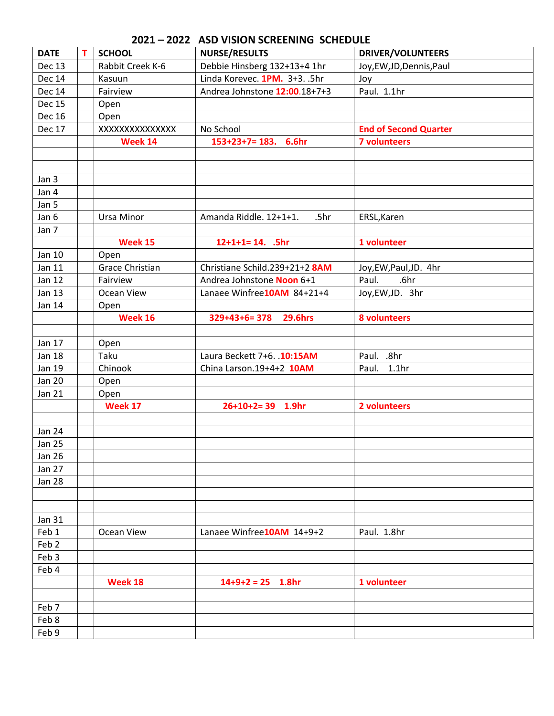| <b>DATE</b>      | T | <b>SCHOOL</b>     | <b>NURSE/RESULTS</b>             | <b>DRIVER/VOLUNTEERS</b>     |  |
|------------------|---|-------------------|----------------------------------|------------------------------|--|
| <b>Dec 13</b>    |   | Rabbit Creek K-6  | Debbie Hinsberg 132+13+4 1hr     | Joy, EW, JD, Dennis, Paul    |  |
| <b>Dec 14</b>    |   | Kasuun            | Linda Korevec. 1PM. 3+3. .5hr    | Joy                          |  |
| <b>Dec 14</b>    |   | Fairview          | Andrea Johnstone 12:00.18+7+3    | Paul. 1.1hr                  |  |
| <b>Dec 15</b>    |   | Open              |                                  |                              |  |
| Dec 16           |   | Open              |                                  |                              |  |
| Dec 17           |   | XXXXXXXXXXXXXX    | No School                        | <b>End of Second Quarter</b> |  |
|                  |   | Week 14           | 153+23+7= 183. 6.6hr             | <b>7 volunteers</b>          |  |
|                  |   |                   |                                  |                              |  |
|                  |   |                   |                                  |                              |  |
| Jan 3            |   |                   |                                  |                              |  |
| Jan 4            |   |                   |                                  |                              |  |
| Jan 5            |   |                   |                                  |                              |  |
| Jan 6            |   | <b>Ursa Minor</b> | Amanda Riddle. 12+1+1.<br>.5hr   | ERSL, Karen                  |  |
| Jan 7            |   |                   |                                  |                              |  |
|                  |   | Week 15           | $12+1+1=14.$ .5hr                | 1 volunteer                  |  |
| Jan 10           |   | Open              |                                  |                              |  |
| Jan 11           |   | Grace Christian   | Christiane Schild.239+21+2 8AM   | Joy, EW, Paul, JD. 4hr       |  |
| Jan 12           |   | Fairview          | Andrea Johnstone Noon 6+1        | .6hr<br>Paul.                |  |
| Jan 13           |   | Ocean View        | Lanaee Winfree10AM 84+21+4       | Joy, EW, JD. 3hr             |  |
| Jan 14           |   | Open              |                                  |                              |  |
|                  |   | Week 16           | $329+43+6=378$<br><b>29.6hrs</b> | <b>8 volunteers</b>          |  |
|                  |   |                   |                                  |                              |  |
| Jan 17           |   | Open              |                                  |                              |  |
| Jan 18           |   | Taku              | Laura Beckett 7+6. . 10:15AM     | Paul. .8hr                   |  |
| Jan 19           |   | Chinook           | China Larson.19+4+2 10AM         | Paul. 1.1hr                  |  |
| <b>Jan 20</b>    |   | Open              |                                  |                              |  |
| Jan 21           |   | Open              |                                  |                              |  |
|                  |   | Week 17           | $26+10+2=39$ 1.9hr               | 2 volunteers                 |  |
|                  |   |                   |                                  |                              |  |
| <b>Jan 24</b>    |   |                   |                                  |                              |  |
| Jan 25           |   |                   |                                  |                              |  |
| <b>Jan 26</b>    |   |                   |                                  |                              |  |
| <b>Jan 27</b>    |   |                   |                                  |                              |  |
| Jan 28           |   |                   |                                  |                              |  |
|                  |   |                   |                                  |                              |  |
|                  |   |                   |                                  |                              |  |
| <b>Jan 31</b>    |   |                   |                                  |                              |  |
| Feb 1            |   | Ocean View        | Lanaee Winfree10AM 14+9+2        | Paul. 1.8hr                  |  |
| Feb <sub>2</sub> |   |                   |                                  |                              |  |
| Feb 3            |   |                   |                                  |                              |  |
| Feb 4            |   |                   |                                  |                              |  |
|                  |   | Week 18           | $14+9+2 = 25$ 1.8hr              | 1 volunteer                  |  |
|                  |   |                   |                                  |                              |  |
| Feb 7<br>Feb 8   |   |                   |                                  |                              |  |
| Feb 9            |   |                   |                                  |                              |  |
|                  |   |                   |                                  |                              |  |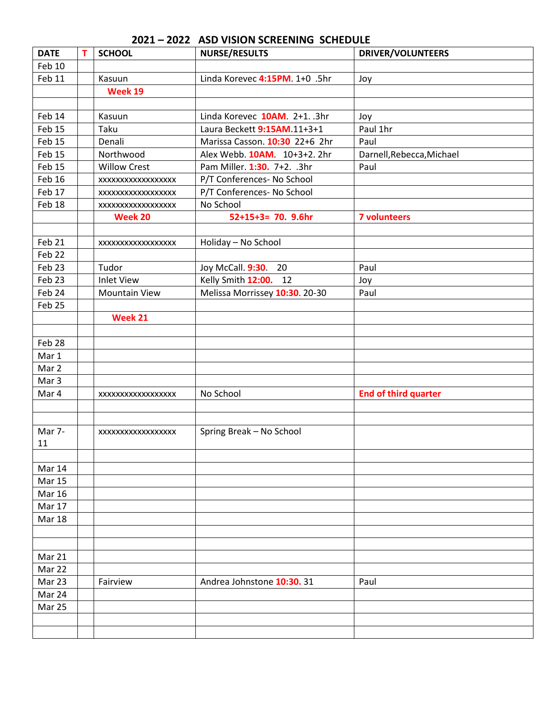| <b>DATE</b>       | т | <b>SCHOOL</b>            | <b>NURSE/RESULTS</b>           | <b>DRIVER/VOLUNTEERS</b>    |
|-------------------|---|--------------------------|--------------------------------|-----------------------------|
| <b>Feb 10</b>     |   |                          |                                |                             |
| Feb 11            |   | Kasuun                   | Linda Korevec 4:15PM. 1+0 .5hr | Joy                         |
|                   |   | Week 19                  |                                |                             |
|                   |   |                          |                                |                             |
| Feb 14            |   | Kasuun                   | Linda Korevec 10AM. 2+1. .3hr  | Joy                         |
| Feb 15            |   | Taku                     | Laura Beckett 9:15AM.11+3+1    | Paul 1hr                    |
| Feb 15            |   | Denali                   | Marissa Casson. 10:30 22+6 2hr | Paul                        |
| Feb <sub>15</sub> |   | Northwood                | Alex Webb. 10AM. 10+3+2. 2hr   | Darnell, Rebecca, Michael   |
| Feb 15            |   | <b>Willow Crest</b>      | Pam Miller. 1:30. 7+2. .3hr    | Paul                        |
| Feb 16            |   | XXXXXXXXXXXXXXXXX        | P/T Conferences- No School     |                             |
| Feb 17            |   | XXXXXXXXXXXXXXXXX        | P/T Conferences- No School     |                             |
| Feb 18            |   | <b>XXXXXXXXXXXXXXXXX</b> | No School                      |                             |
|                   |   | Week 20                  | 52+15+3= 70. 9.6hr             | <b>7 volunteers</b>         |
|                   |   |                          |                                |                             |
| Feb 21            |   | XXXXXXXXXXXXXXXXX        | Holiday - No School            |                             |
| Feb <sub>22</sub> |   |                          |                                |                             |
| Feb <sub>23</sub> |   | Tudor                    | Joy McCall. 9:30. 20           | Paul                        |
| Feb <sub>23</sub> |   | <b>Inlet View</b>        | Kelly Smith 12:00. 12          | Joy                         |
| Feb 24            |   | <b>Mountain View</b>     | Melissa Morrissey 10:30. 20-30 | Paul                        |
| Feb 25            |   |                          |                                |                             |
|                   |   | Week 21                  |                                |                             |
|                   |   |                          |                                |                             |
| Feb 28            |   |                          |                                |                             |
| Mar 1             |   |                          |                                |                             |
| Mar 2             |   |                          |                                |                             |
| Mar 3             |   |                          |                                |                             |
| Mar 4             |   | XXXXXXXXXXXXXXXXXX       | No School                      | <b>End of third quarter</b> |
|                   |   |                          |                                |                             |
|                   |   |                          |                                |                             |
| Mar 7-            |   | XXXXXXXXXXXXXXXXXX       | Spring Break - No School       |                             |
| 11                |   |                          |                                |                             |
|                   |   |                          |                                |                             |
| Mar 14            |   |                          |                                |                             |
| <b>Mar 15</b>     |   |                          |                                |                             |
| <b>Mar 16</b>     |   |                          |                                |                             |
| Mar 17            |   |                          |                                |                             |
| <b>Mar 18</b>     |   |                          |                                |                             |
|                   |   |                          |                                |                             |
|                   |   |                          |                                |                             |
| Mar 21            |   |                          |                                |                             |
| Mar 22            |   |                          |                                |                             |
| Mar 23            |   | Fairview                 | Andrea Johnstone 10:30. 31     | Paul                        |
| Mar 24            |   |                          |                                |                             |
| Mar 25            |   |                          |                                |                             |
|                   |   |                          |                                |                             |
|                   |   |                          |                                |                             |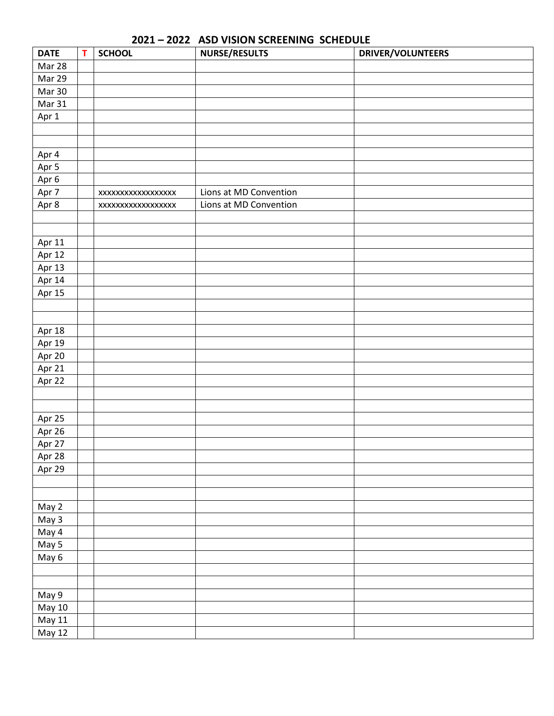# DATE **T** SCHOOL **NURSE/RESULTS** DRIVER/VOLUNTEERS Mar 28 Mar 29 Mar 30 Mar 31 Apr 1 Apr 4 Apr 5 Apr 6 Apr 7 xxxxxxxxxxxxxxxxxx Lions at MD Convention Apr 8 xxxxxxxxxxxxxxxxxx Lions at MD Convention Apr 11 Apr 12 Apr  $13$ Apr 14 Apr 15 Apr 18 Apr 19 Apr 20 Apr 21 Apr 22 Apr 25 Apr 26 Apr 27 Apr 28 Apr 29 May 2 May 3 May 4 May 5 May 6 May 9 May 10 May 11 May 12